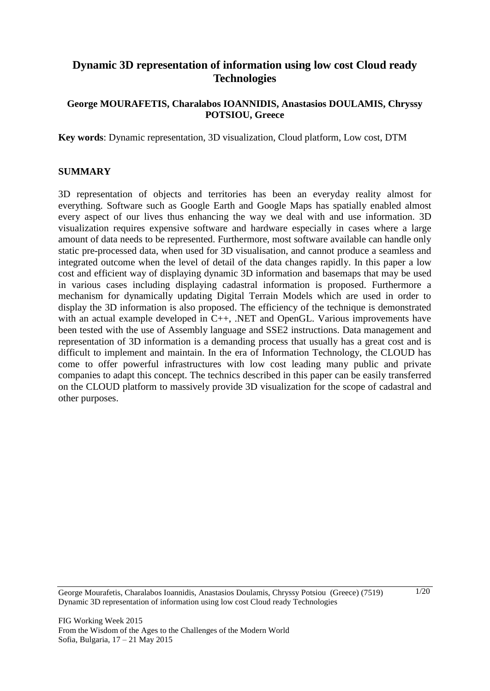# **Dynamic 3D representation of information using low cost Cloud ready Technologies**

### **George MOURAFETIS, Charalabos IOANNIDIS, Anastasios DOULAMIS, Chryssy POTSIOU, Greece**

**Key words**: Dynamic representation, 3D visualization, Cloud platform, Low cost, DTM

#### **SUMMARY**

3D representation of objects and territories has been an everyday reality almost for everything. Software such as Google Earth and Google Maps has spatially enabled almost every aspect of our lives thus enhancing the way we deal with and use information. 3D visualization requires expensive software and hardware especially in cases where a large amount of data needs to be represented. Furthermore, most software available can handle only static pre-processed data, when used for 3D visualisation, and cannot produce a seamless and integrated outcome when the level of detail of the data changes rapidly. In this paper a low cost and efficient way of displaying dynamic 3D information and basemaps that may be used in various cases including displaying cadastral information is proposed. Furthermore a mechanism for dynamically updating Digital Terrain Models which are used in order to display the 3D information is also proposed. The efficiency of the technique is demonstrated with an actual example developed in C++, .NET and OpenGL. Various improvements have been tested with the use of Assembly language and SSE2 instructions. Data management and representation of 3D information is a demanding process that usually has a great cost and is difficult to implement and maintain. In the era of Information Technology, the CLOUD has come to offer powerful infrastructures with low cost leading many public and private companies to adapt this concept. The technics described in this paper can be easily transferred on the CLOUD platform to massively provide 3D visualization for the scope of cadastral and other purposes.

George Mourafetis, Charalabos Ioannidis, Anastasios Doulamis, Chryssy Potsiou (Greece) (7519) Dynamic 3D representation of information using low cost Cloud ready Technologies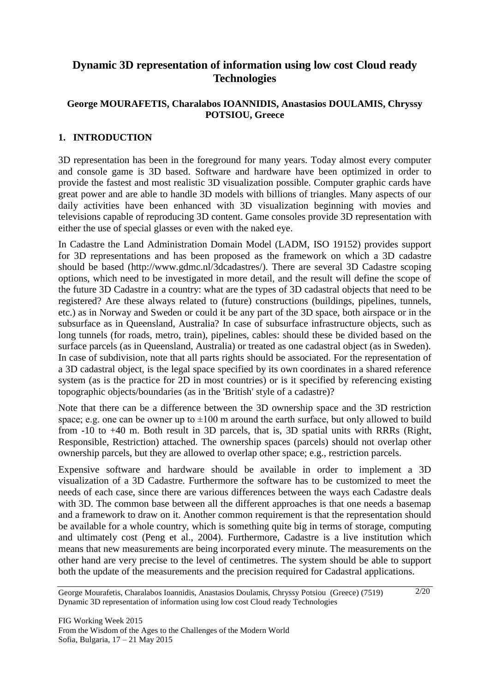# **Dynamic 3D representation of information using low cost Cloud ready Technologies**

# **George MOURAFETIS, Charalabos IOANNIDIS, Anastasios DOULAMIS, Chryssy POTSIOU, Greece**

# **1. INTRODUCTION**

3D representation has been in the foreground for many years. Today almost every computer and console game is 3D based. Software and hardware have been optimized in order to provide the fastest and most realistic 3D visualization possible. Computer graphic cards have great power and are able to handle 3D models with billions of triangles. Many aspects of our daily activities have been enhanced with 3D visualization beginning with movies and televisions capable of reproducing 3D content. Game consoles provide 3D representation with either the use of special glasses or even with the naked eye.

In Cadastre the Land Administration Domain Model (LADM, ISO 19152) provides support for 3D representations and has been proposed as the framework on which a 3D cadastre should be based [\(http://www.gdmc.nl/3dcadastres/\)](http://www.gdmc.nl/3dcadastres/). There are several 3D Cadastre scoping options, which need to be investigated in more detail, and the result will define the scope of the future 3D Cadastre in a country: what are the types of 3D cadastral objects that need to be registered? Are these always related to (future) constructions (buildings, pipelines, tunnels, etc.) as in Norway and Sweden or could it be any part of the 3D space, both airspace or in the subsurface as in Queensland, Australia? In case of subsurface infrastructure objects, such as long tunnels (for roads, metro, train), pipelines, cables: should these be divided based on the surface parcels (as in Queensland, Australia) or treated as one cadastral object (as in Sweden). In case of subdivision, note that all parts rights should be associated. For the representation of a 3D cadastral object, is the legal space specified by its own coordinates in a shared reference system (as is the practice for 2D in most countries) or is it specified by referencing existing topographic objects/boundaries (as in the 'British' style of a cadastre)?

Note that there can be a difference between the 3D ownership space and the 3D restriction space; e.g. one can be owner up to  $\pm 100$  m around the earth surface, but only allowed to build from -10 to +40 m. Both result in 3D parcels, that is, 3D spatial units with RRRs (Right, Responsible, Restriction) attached. The ownership spaces (parcels) should not overlap other ownership parcels, but they are allowed to overlap other space; e.g., restriction parcels.

Expensive software and hardware should be available in order to implement a 3D visualization of a 3D Cadastre. Furthermore the software has to be customized to meet the needs of each case, since there are various differences between the ways each Cadastre deals with 3D. The common base between all the different approaches is that one needs a basemap and a framework to draw on it. Another common requirement is that the representation should be available for a whole country, which is something quite big in terms of storage, computing and ultimately cost (Peng et al., 2004). Furthermore, Cadastre is a live institution which means that new measurements are being incorporated every minute. The measurements on the other hand are very precise to the level of centimetres. The system should be able to support both the update of the measurements and the precision required for Cadastral applications.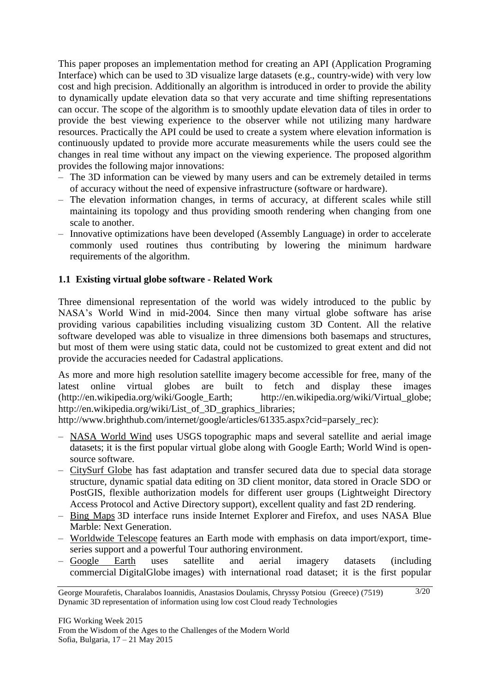This paper proposes an implementation method for creating an API (Application Programing Interface) which can be used to 3D visualize large datasets (e.g., country-wide) with very low cost and high precision. Additionally an algorithm is introduced in order to provide the ability to dynamically update elevation data so that very accurate and time shifting representations can occur. The scope of the algorithm is to smoothly update elevation data of tiles in order to provide the best viewing experience to the observer while not utilizing many hardware resources. Practically the API could be used to create a system where elevation information is continuously updated to provide more accurate measurements while the users could see the changes in real time without any impact on the viewing experience. The proposed algorithm provides the following major innovations:

- The 3D information can be viewed by many users and can be extremely detailed in terms of accuracy without the need of expensive infrastructure (software or hardware).
- The elevation information changes, in terms of accuracy, at different scales while still maintaining its topology and thus providing smooth rendering when changing from one scale to another.
- Innovative optimizations have been developed (Assembly Language) in order to accelerate commonly used routines thus contributing by lowering the minimum hardware requirements of the algorithm.

# **1.1 Existing virtual globe software - Related Work**

Three dimensional representation of the world was widely introduced to the public by NASA's World Wind in mid-2004. Since then many virtual globe software has arise providing various capabilities including visualizing custom 3D Content. All the relative software developed was able to visualize in three dimensions both basemaps and structures, but most of them were using static data, could not be customized to great extent and did not provide the accuracies needed for Cadastral applications.

As more and more high resolution [satellite imagery](http://en.wikipedia.org/wiki/Satellite_imagery) become accessible for free, many of the latest online virtual globes are built to fetch and display these images [\(http://en.wikipedia.org/wiki/Google\\_Earth;](http://en.wikipedia.org/wiki/Google_Earth) [http://en.wikipedia.org/wiki/Virtual\\_globe;](http://en.wikipedia.org/wiki/Virtual_globe) [http://en.wikipedia.org/wiki/List\\_of\\_3D\\_graphics\\_libraries;](http://en.wikipedia.org/wiki/List_of_3D_graphics_libraries)

[http://www.brighthub.com/internet/google/articles/61335.aspx?cid=parsely\\_rec\)](http://www.brighthub.com/internet/google/articles/61335.aspx?cid=parsely_rec):

- [NASA World Wind](http://en.wikipedia.org/wiki/NASA_World_Wind) uses USGS topographic maps and several satellite and aerial image datasets; it is the first popular virtual globe along with Google Earth; World Wind is opensource software.
- [CitySurf Globe](http://en.wikipedia.org/wiki/CitySurf_Globe) has fast adaptation and transfer secured data due to special data storage structure, dynamic spatial data editing on 3D client monitor, data stored in Oracle SDO or PostGIS, flexible authorization models for different user groups (Lightweight Directory Access Protocol and Active Directory support), excellent quality and fast 2D rendering.
- [Bing Maps](http://en.wikipedia.org/wiki/Bing_Maps) 3D interface runs inside Internet Explorer and Firefox, and uses NASA Blue Marble: Next Generation.
- [Worldwide Telescope](http://en.wikipedia.org/wiki/Worldwide_Telescope) features an Earth mode with emphasis on data import/export, timeseries support and a powerful Tour authoring environment.
- [Google Earth](http://en.wikipedia.org/wiki/Google_Earth) uses satellite and aerial imagery datasets (including commercial DigitalGlobe images) with international road dataset; it is the first popular

George Mourafetis, Charalabos Ioannidis, Anastasios Doulamis, Chryssy Potsiou (Greece) (7519) Dynamic 3D representation of information using low cost Cloud ready Technologies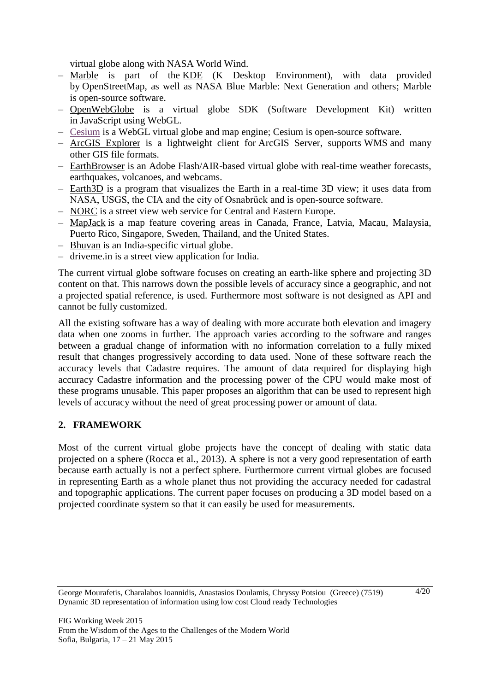virtual globe along with NASA World Wind.

- [Marble](http://en.wikipedia.org/wiki/Marble_(software)) is part of the [KDE](http://en.wikipedia.org/wiki/KDE) (K Desktop Environment), with data provided by [OpenStreetMap,](http://en.wikipedia.org/wiki/OpenStreetMap) as well as NASA Blue Marble: Next Generation and others; Marble is open-source software.
- [OpenWebGlobe](http://en.wikipedia.org/wiki/OpenWebGlobe) is a virtual globe SDK (Software Development Kit) written in JavaScript using WebGL.
- [Cesium](http://cesium.agi.com/) is a WebGL virtual globe and map engine; Cesium is open-source software.
- [ArcGIS Explorer](http://en.wikipedia.org/wiki/ArcGIS_Explorer) is a lightweight client for ArcGIS Server, supports WMS and many other GIS file formats.
- [EarthBrowser](http://en.wikipedia.org/wiki/EarthBrowser) is an Adobe Flash/AIR-based virtual globe with real-time weather forecasts, earthquakes, volcanoes, and webcams.
- [Earth3D](http://en.wikipedia.org/wiki/Earth3D) is a program that visualizes the Earth in a real-time 3D view; it uses data from NASA, USGS, the CIA and the city of Osnabrück and is open-source software.
- [NORC](http://en.wikipedia.org/wiki/NORC_(web_service)) is a street view web service for Central and Eastern Europe.
- [MapJack](http://en.wikipedia.org/wiki/MapJack) is a map feature covering areas in Canada, France, Latvia, Macau, Malaysia, Puerto Rico, Singapore, Sweden, Thailand, and the United States.
- [Bhuvan](http://en.wikipedia.org/wiki/Bhuvan) is an India-specific virtual globe.
- [driveme.in](http://en.wikipedia.org/wiki/Driveme.in) is a street view application for India.

The current virtual globe software focuses on creating an earth-like sphere and projecting 3D content on that. This narrows down the possible levels of accuracy since a geographic, and not a projected spatial reference, is used. Furthermore most software is not designed as API and cannot be fully customized.

All the existing software has a way of dealing with more accurate both elevation and imagery data when one zooms in further. The approach varies according to the software and ranges between a gradual change of information with no information correlation to a fully mixed result that changes progressively according to data used. None of these software reach the accuracy levels that Cadastre requires. The amount of data required for displaying high accuracy Cadastre information and the processing power of the CPU would make most of these programs unusable. This paper proposes an algorithm that can be used to represent high levels of accuracy without the need of great processing power or amount of data.

# **2. FRAMEWORK**

Most of the current virtual globe projects have the concept of dealing with static data projected on a sphere (Rocca et al., 2013). A sphere is not a very good representation of earth because earth actually is not a perfect sphere. Furthermore current virtual globes are focused in representing Earth as a whole planet thus not providing the accuracy needed for cadastral and topographic applications. The current paper focuses on producing a 3D model based on a projected coordinate system so that it can easily be used for measurements.

George Mourafetis, Charalabos Ioannidis, Anastasios Doulamis, Chryssy Potsiou (Greece) (7519) Dynamic 3D representation of information using low cost Cloud ready Technologies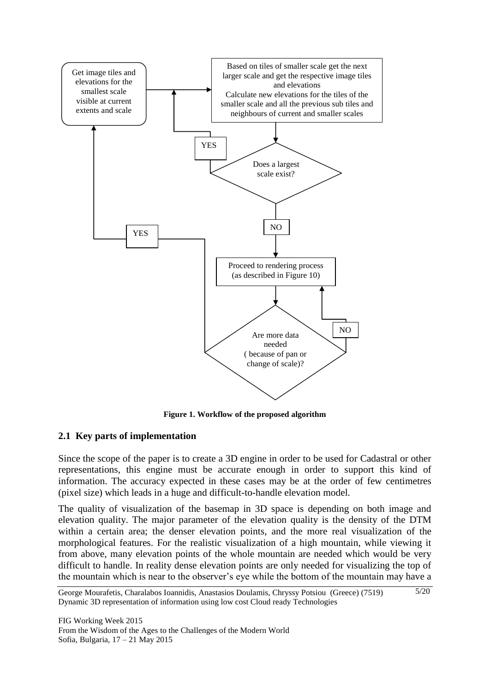

**Figure 1. Workflow of the proposed algorithm**

# **2.1 Key parts of implementation**

Since the scope of the paper is to create a 3D engine in order to be used for Cadastral or other representations, this engine must be accurate enough in order to support this kind of information. The accuracy expected in these cases may be at the order of few centimetres (pixel size) which leads in a huge and difficult-to-handle elevation model.

The quality of visualization of the basemap in 3D space is depending on both image and elevation quality. The major parameter of the elevation quality is the density of the DTM within a certain area; the denser elevation points, and the more real visualization of the morphological features. For the realistic visualization of a high mountain, while viewing it from above, many elevation points of the whole mountain are needed which would be very difficult to handle. In reality dense elevation points are only needed for visualizing the top of the mountain which is near to the observer's eye while the bottom of the mountain may have a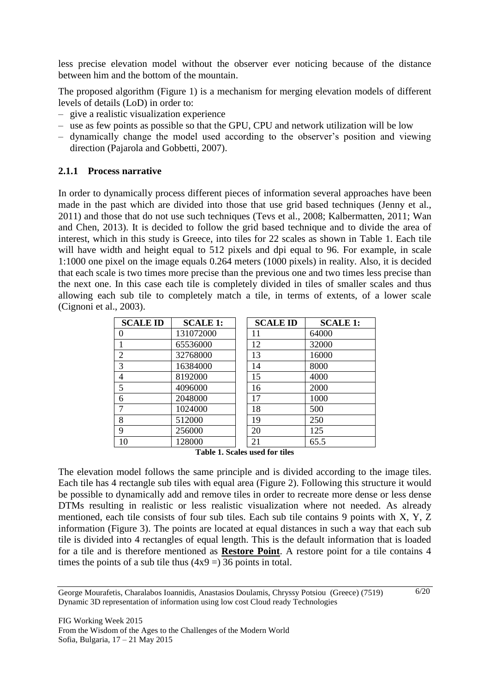less precise elevation model without the observer ever noticing because of the distance between him and the bottom of the mountain.

The proposed algorithm (Figure 1) is a mechanism for merging elevation models of different levels of details (LoD) in order to:

- give a realistic visualization experience
- use as few points as possible so that the GPU, CPU and network utilization will be low
- dynamically change the model used according to the observer's position and viewing direction (Pajarola and Gobbetti, 2007).

### **2.1.1 Process narrative**

In order to dynamically process different pieces of information several approaches have been made in the past which are divided into those that use grid based techniques (Jenny et al., 2011) and those that do not use such techniques (Tevs et al., 2008; Kalbermatten, 2011; Wan and Chen, 2013). It is decided to follow the grid based technique and to divide the area of interest, which in this study is Greece, into tiles for 22 scales as shown in Table 1. Each tile will have width and height equal to 512 pixels and dpi equal to 96. For example, in scale 1:1000 one pixel on the image equals 0.264 meters (1000 pixels) in reality. Also, it is decided that each scale is two times more precise than the previous one and two times less precise than the next one. In this case each tile is completely divided in tiles of smaller scales and thus allowing each sub tile to completely match a tile, in terms of extents, of a lower scale (Cignoni et al., 2003).

| <b>SCALE ID</b> | <b>SCALE 1:</b> | <b>SCALE ID</b> | <b>SCALE 1:</b> |
|-----------------|-----------------|-----------------|-----------------|
| 0               | 131072000       | 11              | 64000           |
|                 | 65536000        | 12              | 32000           |
| $\overline{2}$  | 32768000        | 13              | 16000           |
| 3               | 16384000        | 14              | 8000            |
| 4               | 8192000         | 15              | 4000            |
| 5               | 4096000         | 16              | 2000            |
| 6               | 2048000         | 17              | 1000            |
| 7               | 1024000         | 18              | 500             |
| 8               | 512000          | 19              | 250             |
| 9               | 256000          | 20              | 125             |
| 10              | 128000          | 21              | 65.5            |

**Table 1. Scales used for tiles**

<span id="page-5-0"></span>The elevation model follows the same principle and is divided according to the image tiles. Each tile has 4 rectangle sub tiles with equal area (Figure 2). Following this structure it would be possible to dynamically add and remove tiles in order to recreate more dense or less dense DTMs resulting in realistic or less realistic visualization where not needed. As already mentioned, each tile consists of four sub tiles. Each sub tile contains 9 points with X, Y, Z information (Figure 3). The points are located at equal distances in such a way that each sub tile is divided into 4 rectangles of equal length. This is the default information that is loaded for a tile and is therefore mentioned as **Restore Point**. A restore point for a tile contains 4 times the points of a sub tile thus  $(4x9 = 36$  points in total.

George Mourafetis, Charalabos Ioannidis, Anastasios Doulamis, Chryssy Potsiou (Greece) (7519) Dynamic 3D representation of information using low cost Cloud ready Technologies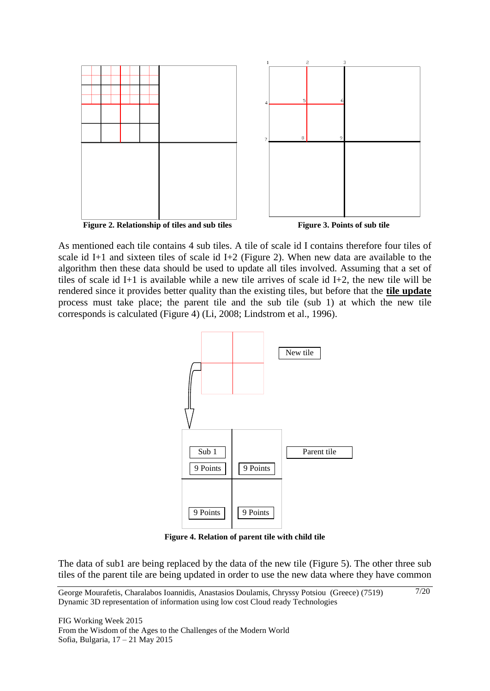

As mentioned each tile contains 4 sub tiles. A tile of scale id I contains therefore four tiles of scale id I+1 and sixteen tiles of scale id I+2 (Figure 2). When new data are available to the algorithm then these data should be used to update all tiles involved. Assuming that a set of tiles of scale id I+1 is available while a new tile arrives of scale id I+2, the new tile will be rendered since it provides better quality than the existing tiles, but before that the **tile update** process must take place; the parent tile and the sub tile (sub 1) at which the new tile corresponds is calculated (Figure 4) (Li, 2008; Lindstrom et al., 1996).



**Figure 4. Relation of parent tile with child tile**

The data of sub1 are being replaced by the data of the new tile (Figure 5). The other three sub tiles of the parent tile are being updated in order to use the new data where they have common

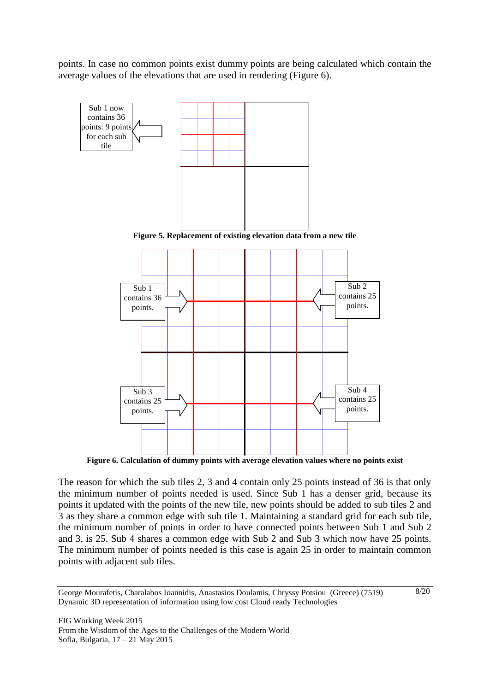points. In case no common points exist dummy points are being calculated which contain the average values of the elevations that are used in rendering (Figure 6).



**Figure 6. Calculation of dummy points with average elevation values where no points exist**

The reason for which the sub tiles 2, 3 and 4 contain only 25 points instead of 36 is that only the minimum number of points needed is used. Since Sub 1 has a denser grid, because its points it updated with the points of the new tile, new points should be added to sub tiles 2 and 3 as they share a common edge with sub tile 1. Maintaining a standard grid for each sub tile, the minimum number of points in order to have connected points between Sub 1 and Sub 2 and 3, is 25. Sub 4 shares a common edge with Sub 2 and Sub 3 which now have 25 points. The minimum number of points needed is this case is again 25 in order to maintain common points with adjacent sub tiles.

George Mourafetis, Charalabos Ioannidis, Anastasios Doulamis, Chryssy Potsiou (Greece) (7519) Dynamic 3D representation of information using low cost Cloud ready Technologies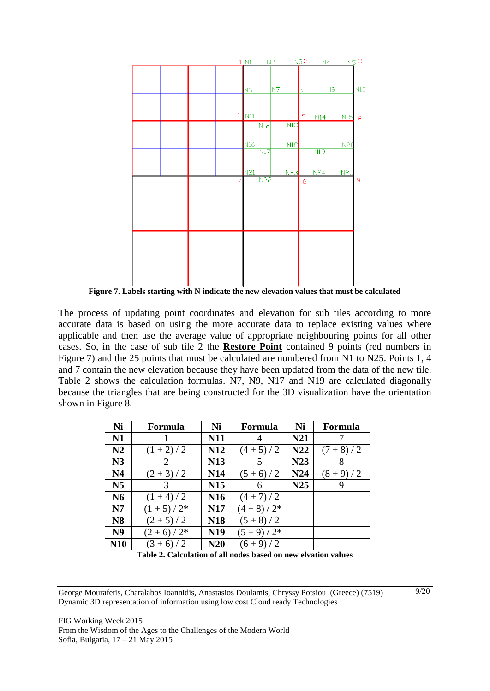

**Figure 7. Labels starting with N indicate the new elevation values that must be calculated**

The process of updating point coordinates and elevation for sub tiles according to more accurate data is based on using the more accurate data to replace existing values where applicable and then use the average value of appropriate neighbouring points for all other cases. So, in the case of sub tile 2 the **Restore Point** contained 9 points (red numbers in Figure 7) and the 25 points that must be calculated are numbered from N1 to N25. Points 1, 4 and 7 contain the new elevation because they have been updated from the data of the new tile. Table 2 shows the calculation formulas. N7, N9, N17 and N19 are calculated diagonally because the triangles that are being constructed for the 3D visualization have the orientation shown in Figure 8.

| Ni             | Formula         | Ni              | Formula     | Ni  | Formula   |
|----------------|-----------------|-----------------|-------------|-----|-----------|
| N1             |                 | N11             |             | N21 |           |
| N2             | $(1 + 2) / 2$   | <b>N12</b>      | $(4+5)/2$   | N22 | $(7+8)/2$ |
| N3             | 2               | <b>N13</b>      | 5           | N23 | 8         |
| N <sub>4</sub> | $(2 + 3) / 2$   | <b>N14</b>      | $(5+6)/2$   | N24 | $(8+9)/2$ |
| N <sub>5</sub> | 3               | <b>N15</b>      | 6           | N25 | 9         |
| N6             | $(1 + 4)/2$     | N <sub>16</sub> | $(4+7)/2$   |     |           |
| N7             | $(1 + 5) / 2^*$ | <b>N17</b>      | $(4+8)/2*$  |     |           |
| <b>N8</b>      | $(2 + 5) / 2$   | <b>N18</b>      | $(5+8)/2$   |     |           |
| N <sub>9</sub> | $(2+6)/2*$      | N <sub>19</sub> | $(5+9)/2^*$ |     |           |
| N10            | $(3+6)/2$       | N20             | $(6+9)/2$   |     |           |

**Table 2. Calculation of all nodes based on new elvation values**

George Mourafetis, Charalabos Ioannidis, Anastasios Doulamis, Chryssy Potsiou (Greece) (7519) Dynamic 3D representation of information using low cost Cloud ready Technologies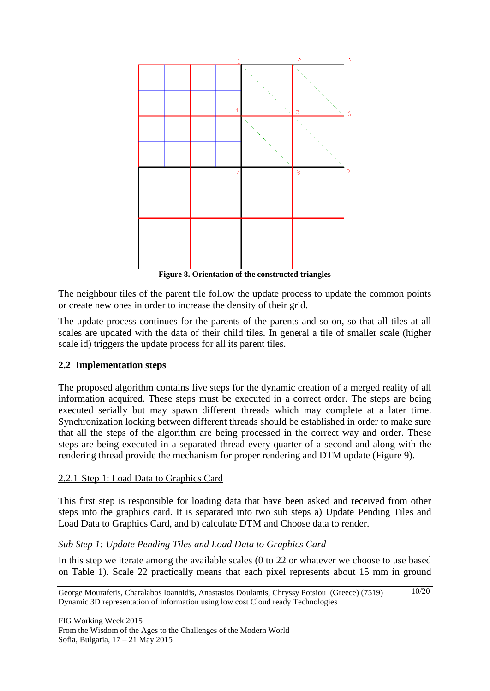

**Figure 8. Orientation of the constructed triangles**

The neighbour tiles of the parent tile follow the update process to update the common points or create new ones in order to increase the density of their grid.

The update process continues for the parents of the parents and so on, so that all tiles at all scales are updated with the data of their child tiles. In general a tile of smaller scale (higher scale id) triggers the update process for all its parent tiles.

# **2.2 Implementation steps**

The proposed algorithm contains five steps for the dynamic creation of a merged reality of all information acquired. These steps must be executed in a correct order. The steps are being executed serially but may spawn different threads which may complete at a later time. Synchronization locking between different threads should be established in order to make sure that all the steps of the algorithm are being processed in the correct way and order. These steps are being executed in a separated thread every quarter of a second and along with the rendering thread provide the mechanism for proper rendering and DTM update (Figure 9).

# 2.2.1 Step 1: Load Data to Graphics Card

This first step is responsible for loading data that have been asked and received from other steps into the graphics card. It is separated into two sub steps a) Update Pending Tiles and Load Data to Graphics Card, and b) calculate DTM and Choose data to render.

# *Sub Step 1: Update Pending Tiles and Load Data to Graphics Card*

In this step we iterate among the available scales (0 to 22 or whatever we choose to use based on [Table 1\)](#page-5-0). Scale 22 practically means that each pixel represents about 15 mm in ground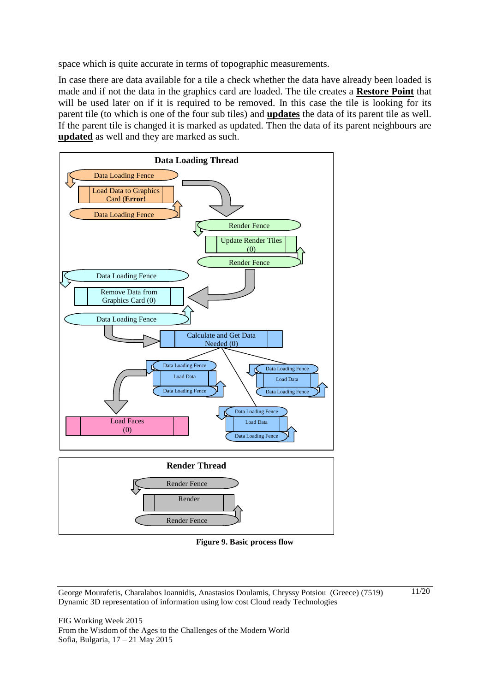space which is quite accurate in terms of topographic measurements.

In case there are data available for a tile a check whether the data have already been loaded is made and if not the data in the graphics card are loaded. The tile creates a **Restore Point** that will be used later on if it is required to be removed. In this case the tile is looking for its parent tile (to which is one of the four sub tiles) and **updates** the data of its parent tile as well. If the parent tile is changed it is marked as updated. Then the data of its parent neighbours are **updated** as well and they are marked as such.



**Figure 9. Basic process flow**

George Mourafetis, Charalabos Ioannidis, Anastasios Doulamis, Chryssy Potsiou (Greece) (7519) Dynamic 3D representation of information using low cost Cloud ready Technologies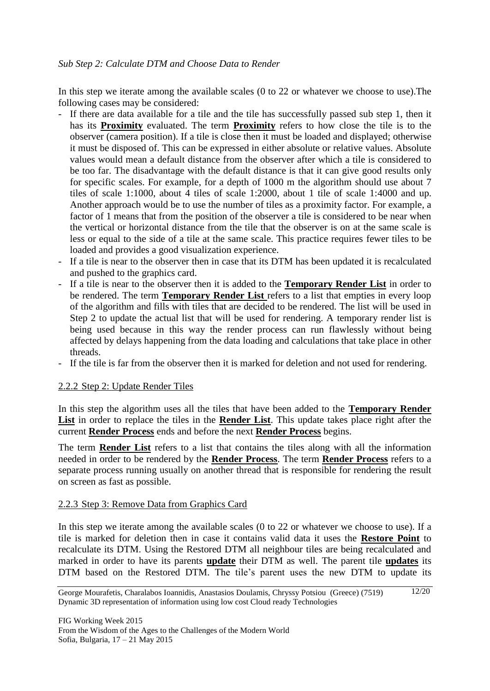In this step we iterate among the available scales (0 to 22 or whatever we choose to use).The following cases may be considered:

- If there are data available for a tile and the tile has successfully passed sub step 1, then it has its **Proximity** evaluated. The term **Proximity** refers to how close the tile is to the observer (camera position). If a tile is close then it must be loaded and displayed; otherwise it must be disposed of. This can be expressed in either absolute or relative values. Absolute values would mean a default distance from the observer after which a tile is considered to be too far. The disadvantage with the default distance is that it can give good results only for specific scales. For example, for a depth of 1000 m the algorithm should use about 7 tiles of scale 1:1000, about 4 tiles of scale 1:2000, about 1 tile of scale 1:4000 and up. Another approach would be to use the number of tiles as a proximity factor. For example, a factor of 1 means that from the position of the observer a tile is considered to be near when the vertical or horizontal distance from the tile that the observer is on at the same scale is less or equal to the side of a tile at the same scale. This practice requires fewer tiles to be loaded and provides a good visualization experience.
- If a tile is near to the observer then in case that its DTM has been updated it is recalculated and pushed to the graphics card.
- If a tile is near to the observer then it is added to the **Temporary Render List** in order to be rendered. The term **Temporary Render List** refers to a list that empties in every loop of the algorithm and fills with tiles that are decided to be rendered. The list will be used in Step 2 to update the actual list that will be used for rendering. A temporary render list is being used because in this way the render process can run flawlessly without being affected by delays happening from the data loading and calculations that take place in other threads.
- If the tile is far from the observer then it is marked for deletion and not used for rendering.

# <span id="page-11-0"></span>2.2.2 Step 2: Update Render Tiles

In this step the algorithm uses all the tiles that have been added to the **Temporary Render List** in order to replace the tiles in the **Render List**. This update takes place right after the current **Render Process** ends and before the next **Render Process** begins.

The term **Render List** refers to a list that contains the tiles along with all the information needed in order to be rendered by the **Render Process**. The term **Render Process** refers to a separate process running usually on another thread that is responsible for rendering the result on screen as fast as possible.

#### <span id="page-11-1"></span>2.2.3 Step 3: Remove Data from Graphics Card

In this step we iterate among the available scales (0 to 22 or whatever we choose to use). If a tile is marked for deletion then in case it contains valid data it uses the **Restore Point** to recalculate its DTM. Using the Restored DTM all neighbour tiles are being recalculated and marked in order to have its parents **update** their DTM as well. The parent tile **updates** its DTM based on the Restored DTM. The tile's parent uses the new DTM to update its

George Mourafetis, Charalabos Ioannidis, Anastasios Doulamis, Chryssy Potsiou (Greece) (7519) Dynamic 3D representation of information using low cost Cloud ready Technologies 12/20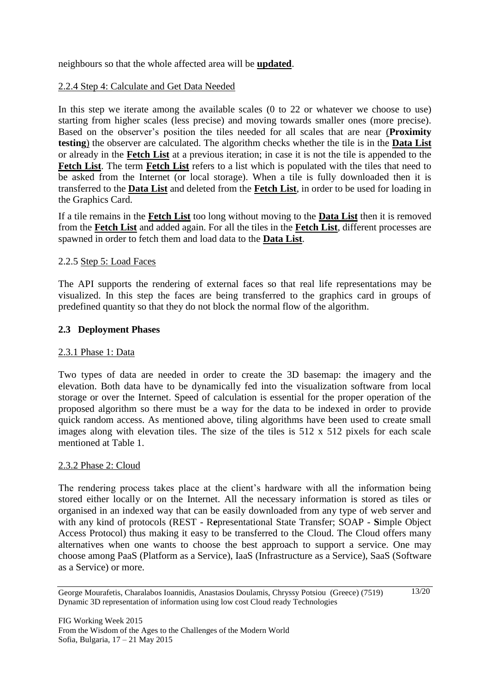neighbours so that the whole affected area will be **updated**.

### <span id="page-12-1"></span>2.2.4 Step 4: Calculate and Get Data Needed

In this step we iterate among the available scales (0 to 22 or whatever we choose to use) starting from higher scales (less precise) and moving towards smaller ones (more precise). Based on the observer's position the tiles needed for all scales that are near (**Proximity testing**) the observer are calculated. The algorithm checks whether the tile is in the **Data List** or already in the **Fetch List** at a previous iteration; in case it is not the tile is appended to the **Fetch List**. The term **Fetch List** refers to a list which is populated with the tiles that need to be asked from the Internet (or local storage). When a tile is fully downloaded then it is transferred to the **Data List** and deleted from the **Fetch List**, in order to be used for loading in the Graphics Card.

If a tile remains in the **Fetch List** too long without moving to the **Data List** then it is removed from the **Fetch List** and added again. For all the tiles in the **Fetch List**, different processes are spawned in order to fetch them and load data to the **Data List**.

### <span id="page-12-0"></span>2.2.5 Step 5: Load Faces

The API supports the rendering of external faces so that real life representations may be visualized. In this step the faces are being transferred to the graphics card in groups of predefined quantity so that they do not block the normal flow of the algorithm.

### **2.3 Deployment Phases**

#### 2.3.1 Phase 1: Data

Two types of data are needed in order to create the 3D basemap: the imagery and the elevation. Both data have to be dynamically fed into the visualization software from local storage or over the Internet. Speed of calculation is essential for the proper operation of the proposed algorithm so there must be a way for the data to be indexed in order to provide quick random access. As mentioned above, tiling algorithms have been used to create small images along with elevation tiles. The size of the tiles is 512 x 512 pixels for each scale mentioned at Table 1.

#### 2.3.2 Phase 2: Cloud

The rendering process takes place at the client's hardware with all the information being stored either locally or on the Internet. All the necessary information is stored as tiles or organised in an indexed way that can be easily downloaded from any type of web server and with any kind of protocols (REST - R**e**presentational State Transfer; SOAP - **S**imple Object Access Protocol) thus making it easy to be transferred to the Cloud. The Cloud offers many alternatives when one wants to choose the best approach to support a service. One may choose among PaaS (Platform as a Service), IaaS (Infrastructure as a Service), SaaS (Software as a Service) or more.

George Mourafetis, Charalabos Ioannidis, Anastasios Doulamis, Chryssy Potsiou (Greece) (7519) Dynamic 3D representation of information using low cost Cloud ready Technologies 13/20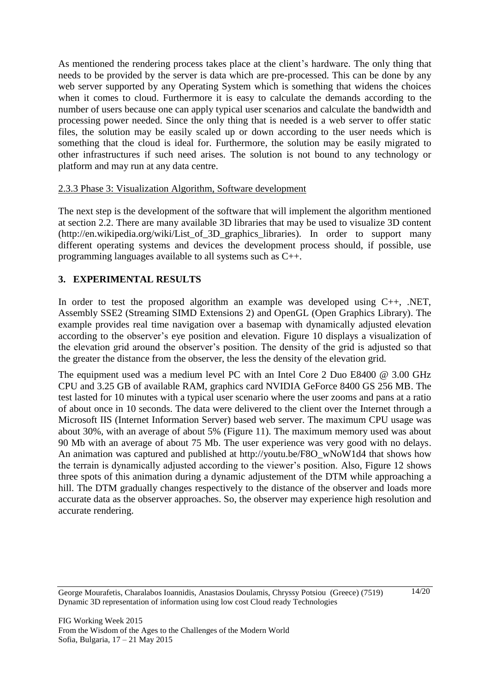As mentioned the rendering process takes place at the client's hardware. The only thing that needs to be provided by the server is data which are pre-processed. This can be done by any web server supported by any Operating System which is something that widens the choices when it comes to cloud. Furthermore it is easy to calculate the demands according to the number of users because one can apply typical user scenarios and calculate the bandwidth and processing power needed. Since the only thing that is needed is a web server to offer static files, the solution may be easily scaled up or down according to the user needs which is something that the cloud is ideal for. Furthermore, the solution may be easily migrated to other infrastructures if such need arises. The solution is not bound to any technology or platform and may run at any data centre.

### 2.3.3 Phase 3: Visualization Algorithm, Software development

The next step is the development of the software that will implement the algorithm mentioned at section 2.2. There are many available 3D libraries that may be used to visualize 3D content [\(http://en.wikipedia.org/wiki/List\\_of\\_3D\\_graphics\\_libraries\)](http://en.wikipedia.org/wiki/List_of_3D_graphics_libraries). In order to support many different operating systems and devices the development process should, if possible, use programming languages available to all systems such as C++.

# **3. EXPERIMENTAL RESULTS**

In order to test the proposed algorithm an example was developed using C++, .NET, Assembly SSE2 (Streaming SIMD Extensions 2) and OpenGL (Open Graphics Library). The example provides real time navigation over a basemap with dynamically adjusted elevation according to the observer's eye position and elevation. Figure 10 displays a visualization of the elevation grid around the observer's position. The density of the grid is adjusted so that the greater the distance from the observer, the less the density of the elevation grid.

The equipment used was a medium level PC with an Intel Core 2 Duo E8400 @ 3.00 GHz CPU and 3.25 GB of available RAM, graphics card NVIDIA GeForce 8400 GS 256 MB. The test lasted for 10 minutes with a typical user scenario where the user zooms and pans at a ratio of about once in 10 seconds. The data were delivered to the client over the Internet through a Microsoft IIS (Internet Information Server) based web server. The maximum CPU usage was about 30%, with an average of about 5% (Figure 11). The maximum memory used was about 90 Mb with an average of about 75 Mb. The user experience was very good with no delays. An animation was captured and published at [http://youtu.be/F8O\\_wNoW1d4](http://youtu.be/F8O_wNoW1d4) that shows how the terrain is dynamically adjusted according to the viewer's position. Also, Figure 12 shows three spots of this animation during a dynamic adjustement of the DTM while approaching a hill. The DTM gradually changes respectively to the distance of the observer and loads more accurate data as the observer approaches. So, the observer may experience high resolution and accurate rendering.

George Mourafetis, Charalabos Ioannidis, Anastasios Doulamis, Chryssy Potsiou (Greece) (7519) Dynamic 3D representation of information using low cost Cloud ready Technologies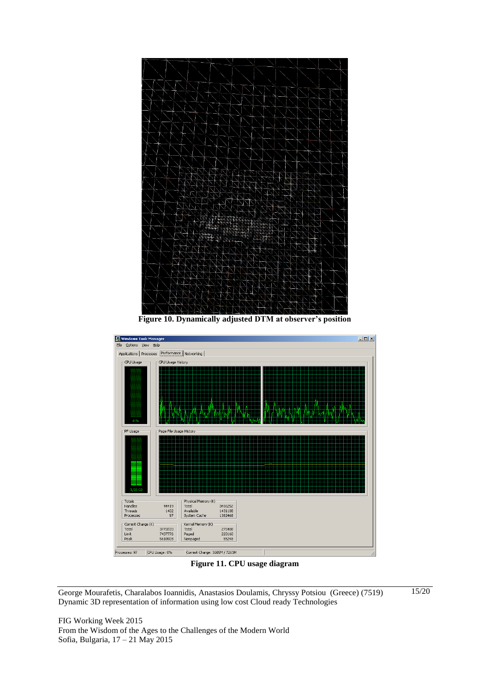

**Figure 10. Dynamically adjusted DTM at observer's position**



**Figure 11. CPU usage diagram**

George Mourafetis, Charalabos Ioannidis, Anastasios Doulamis, Chryssy Potsiou (Greece) (7519) Dynamic 3D representation of information using low cost Cloud ready Technologies

FIG Working Week 2015 From the Wisdom of the Ages to the Challenges of the Modern World Sofia, Bulgaria, 17 – 21 May 2015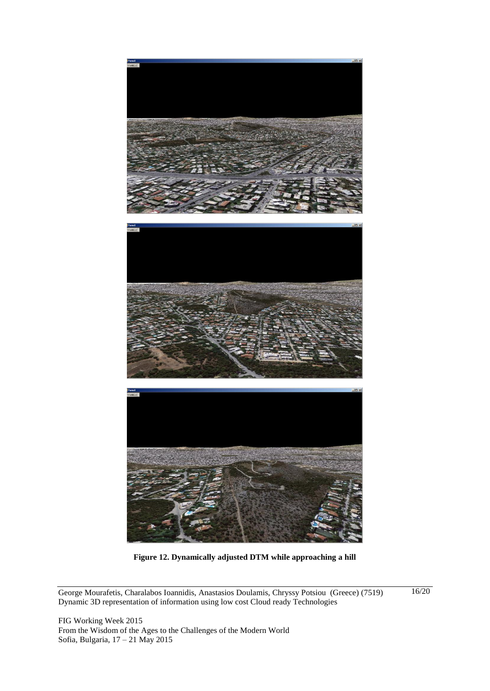

**Figure 12. Dynamically adjusted DTM while approaching a hill**

George Mourafetis, Charalabos Ioannidis, Anastasios Doulamis, Chryssy Potsiou (Greece) (7519) Dynamic 3D representation of information using low cost Cloud ready Technologies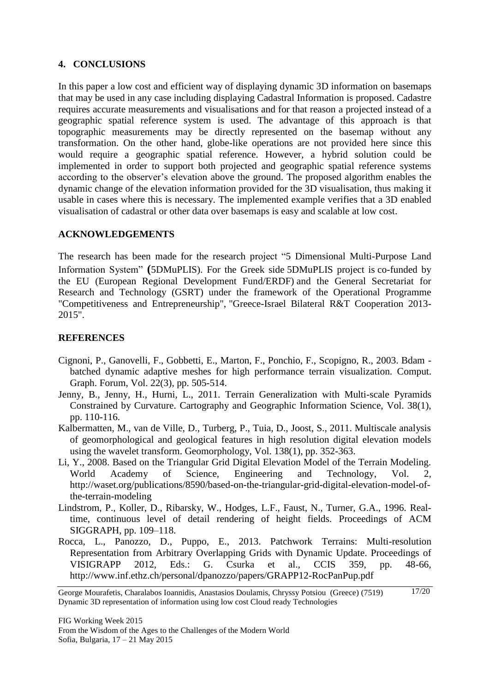### **4. CONCLUSIONS**

In this paper a low cost and efficient way of displaying dynamic 3D information on basemaps that may be used in any case including displaying Cadastral Information is proposed. Cadastre requires accurate measurements and visualisations and for that reason a projected instead of a geographic spatial reference system is used. The advantage of this approach is that topographic measurements may be directly represented on the basemap without any transformation. On the other hand, globe-like operations are not provided here since this would require a geographic spatial reference. However, a hybrid solution could be implemented in order to support both projected and geographic spatial reference systems according to the observer's elevation above the ground. The proposed algorithm enables the dynamic change of the elevation information provided for the 3D visualisation, thus making it usable in cases where this is necessary. The implemented example verifies that a 3D enabled visualisation of cadastral or other data over basemaps is easy and scalable at low cost.

### **ACKNOWLEDGEMENTS**

The research has been made for the research project "5 Dimensional Multi-Purpose Land Information System" **(**5DMuPLIS). For the Greek side 5DMuPLIS project is co-funded by the EU (European Regional Development Fund/ERDF) and the General Secretariat for Research and Technology (GSRT) under the framework of the Operational Programme "Competitiveness and Entrepreneurship", "Greece-Israel Bilateral R&T Cooperation 2013- 2015".

# **REFERENCES**

- Cignoni, P., Ganovelli, F., Gobbetti, E., Marton, F., Ponchio, F., Scopigno, R., 2003. Bdam batched dynamic adaptive meshes for high performance terrain visualization. Comput. Graph. Forum, Vol. 22(3), pp. 505-514.
- Jenny, B., Jenny, H., Hurni, L., 2011. Terrain Generalization with Multi-scale Pyramids Constrained by Curvature. Cartography and Geographic Information Science, Vol. 38(1), pp. 110-116.
- Kalbermatten, M., van de Ville, D., Turberg, P., Tuia, D., Joost, S., 2011. Multiscale analysis of geomorphological and geological features in high resolution digital elevation models using the wavelet transform. Geomorphology, Vol. 138(1), pp. 352-363.
- Li, Y., 2008. Based on the Triangular Grid Digital Elevation Model of the Terrain Modeling. World Academy of Science, Engineering and Technology, Vol. 2, [http://waset.org/publications/8590/based-on-the-triangular-grid-digital-elevation-model-of](http://waset.org/publications/8590/based-on-the-triangular-grid-digital-elevation-model-of-the-terrain-modeling)[the-terrain-modeling](http://waset.org/publications/8590/based-on-the-triangular-grid-digital-elevation-model-of-the-terrain-modeling)
- Lindstrom, P., Koller, D., Ribarsky, W., Hodges, L.F., Faust, N., Turner, G.A., 1996. Realtime, continuous level of detail rendering of height fields. Proceedings of ACM SIGGRAPH, pp. 109–118.
- Rocca, L., Panozzo, D., Puppo, E., 2013. Patchwork Terrains: Multi-resolution Representation from Arbitrary Overlapping Grids with Dynamic Update. Proceedings of VISIGRAPP 2012, Eds.: G. Csurka et al., CCIS 359, pp. 48-66, <http://www.inf.ethz.ch/personal/dpanozzo/papers/GRAPP12-RocPanPup.pdf>

George Mourafetis, Charalabos Ioannidis, Anastasios Doulamis, Chryssy Potsiou (Greece) (7519) Dynamic 3D representation of information using low cost Cloud ready Technologies 17/20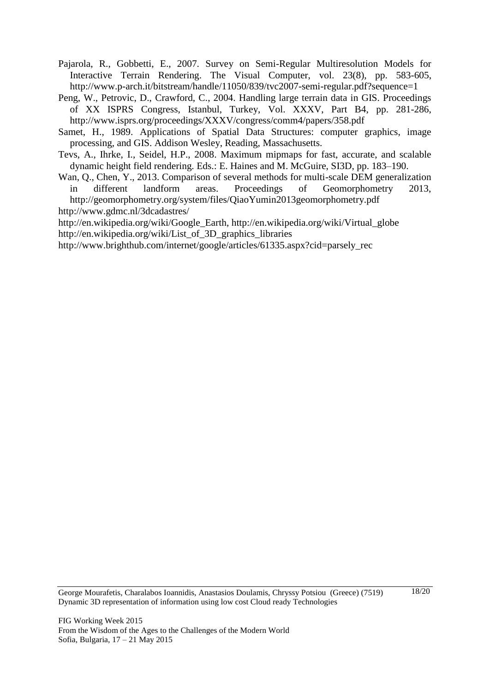- Pajarola, R., Gobbetti, E., 2007. Survey on Semi-Regular Multiresolution Models for Interactive Terrain Rendering. The Visual Computer, vol. 23(8), pp. 583-605, <http://www.p-arch.it/bitstream/handle/11050/839/tvc2007-semi-regular.pdf?sequence=1>
- Peng, W., Petrovic, D., Crawford, C., 2004. Handling large terrain data in GIS. Proceedings of XX ISPRS Congress, Istanbul, Turkey, Vol. XXXV, Part B4, pp. 281-286, <http://www.isprs.org/proceedings/XXXV/congress/comm4/papers/358.pdf>
- Samet, H., 1989. Applications of Spatial Data Structures: computer graphics, image processing, and GIS. Addison Wesley, Reading, Massachusetts.
- Tevs, A., Ihrke, I., Seidel, H.P., 2008. Maximum mipmaps for fast, accurate, and scalable dynamic height field rendering. Eds.: E. Haines and M. McGuire, SI3D, pp. 183–190.
- Wan, Q., Chen, Y., 2013. Comparison of several methods for multi-scale DEM generalization in different landform areas. Proceedings of Geomorphometry 2013, http://geomorphometry.org/system/files/QiaoYumin2013geomorphometry.pdf <http://www.gdmc.nl/3dcadastres/>

[http://en.wikipedia.org/wiki/Google\\_Earth,](http://en.wikipedia.org/wiki/Google_Earth) [http://en.wikipedia.org/wiki/Virtual\\_globe](http://en.wikipedia.org/wiki/Virtual_globe) [http://en.wikipedia.org/wiki/List\\_of\\_3D\\_graphics\\_libraries](http://en.wikipedia.org/wiki/List_of_3D_graphics_libraries)

[http://www.brighthub.com/internet/google/articles/61335.aspx?cid=parsely\\_rec](http://www.brighthub.com/internet/google/articles/61335.aspx?cid=parsely_rec)

George Mourafetis, Charalabos Ioannidis, Anastasios Doulamis, Chryssy Potsiou (Greece) (7519) Dynamic 3D representation of information using low cost Cloud ready Technologies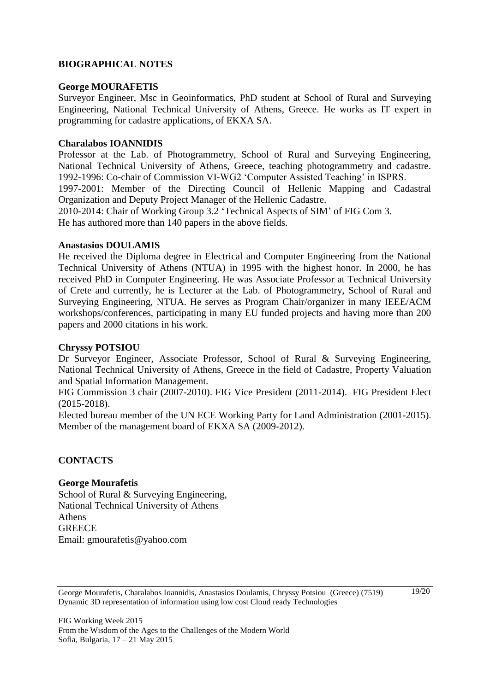### **BIOGRAPHICAL NOTES**

#### **George MOURAFETIS**

Surveyor Engineer, Msc in Geoinformatics, PhD student at School of Rural and Surveying Engineering, National Technical University of Athens, Greece. He works as IT expert in programming for cadastre applications, of EKXA SA.

#### **Charalabos IOANNIDIS**

Professor at the Lab. of Photogrammetry, School of Rural and Surveying Engineering, National Technical University of Athens, Greece, teaching photogrammetry and cadastre. 1992-1996: Co-chair of Commission VI-WG2 'Computer Assisted Teaching' in ISPRS. 1997-2001: Member of the Directing Council of Hellenic Mapping and Cadastral Organization and Deputy Project Manager of the Hellenic Cadastre. 2010-2014: Chair of Working Group 3.2 'Technical Aspects of SIM' of FIG Com 3. He has authored more than 140 papers in the above fields.

#### **Anastasios DOULAMIS**

He received the Diploma degree in Electrical and Computer Engineering from the National Technical University of Athens (NTUA) in 1995 with the highest honor. In 2000, he has received PhD in Computer Engineering. He was Associate Professor at Technical University of Crete and currently, he is Lecturer at the Lab. of Photogrammetry, School of Rural and Surveying Engineering, NTUA. He serves as Program Chair/organizer in many IEEE/ACM workshops/conferences, participating in many EU funded projects and having more than 200 papers and 2000 citations in his work.

#### **Chryssy POTSIOU**

Dr Surveyor Engineer, Associate Professor, School of Rural & Surveying Engineering, National Technical University of Athens, Greece in the field of Cadastre, Property Valuation and Spatial Information Management.

FIG Commission 3 chair (2007-2010). FIG Vice President (2011-2014). FIG President Elect (2015-2018).

Elected bureau member of the UN ECE Working Party for Land Administration (2001-2015). Member of the management board of EKXA SA (2009-2012).

#### **CONTACTS**

#### **George Mourafetis**

School of Rural & Surveying Engineering, National Technical University of Athens Athens **GREECE** Email: gmourafetis@yahoo.com

George Mourafetis, Charalabos Ioannidis, Anastasios Doulamis, Chryssy Potsiou (Greece) (7519) Dynamic 3D representation of information using low cost Cloud ready Technologies